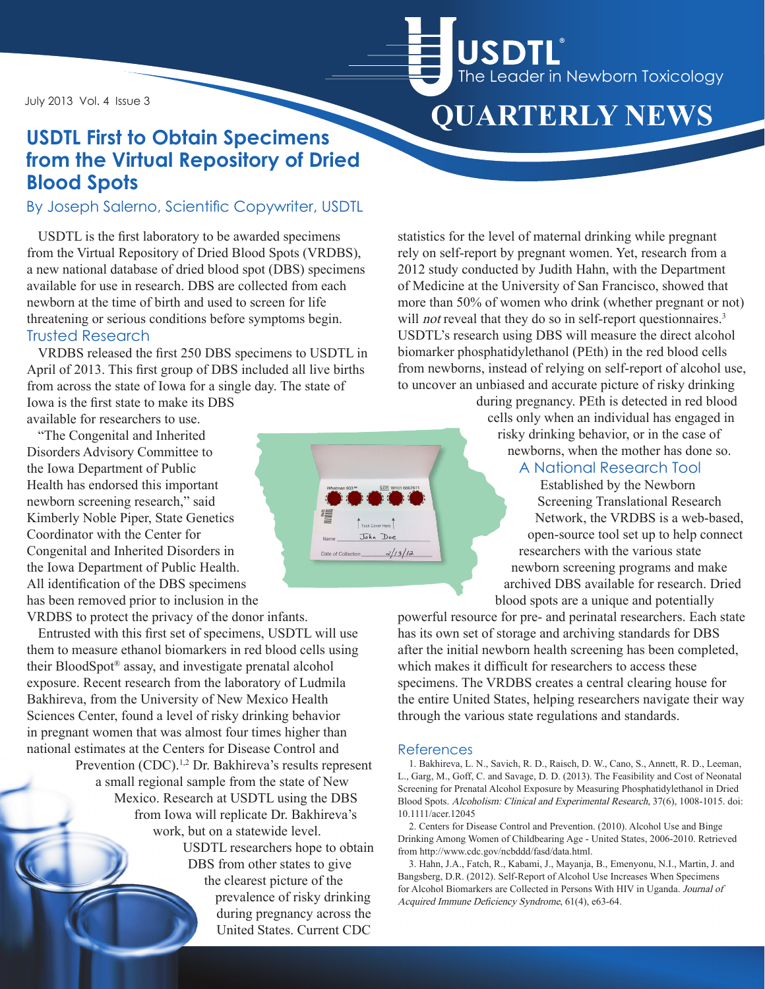July 2013 Vol. 4 Issue 3

## **USDTL First to Obtain Specimens from the Virtual Repository of Dried Blood Spots**

### By Joseph Salerno, Scientific Copywriter, USDTL

USDTL is the first laboratory to be awarded specimens from the Virtual Repository of Dried Blood Spots (VRDBS), a new national database of dried blood spot (DBS) specimens available for use in research. DBS are collected from each newborn at the time of birth and used to screen for life threatening or serious conditions before symptoms begin. Trusted Research

VRDBS released the first 250 DBS specimens to USDTL in April of 2013. This first group of DBS included all live births from across the state of Iowa for a single day. The state of Iowa is the first state to make its DBS

available for researchers to use.

"The Congenital and Inherited Disorders Advisory Committee to the Iowa Department of Public Health has endorsed this important newborn screening research," said Kimberly Noble Piper, State Genetics Coordinator with the Center for Congenital and Inherited Disorders in the Iowa Department of Public Health. All identification of the DBS specimens has been removed prior to inclusion in the

VRDBS to protect the privacy of the donor infants.

Entrusted with this first set of specimens, USDTL will use them to measure ethanol biomarkers in red blood cells using their BloodSpot® assay, and investigate prenatal alcohol exposure. Recent research from the laboratory of Ludmila Bakhireva, from the University of New Mexico Health Sciences Center, found a level of risky drinking behavior in pregnant women that was almost four times higher than national estimates at the Centers for Disease Control and Prevention (CDC).<sup>1,2</sup> Dr. Bakhireva's results represent a small regional sample from the state of New Mexico. Research at USDTL using the DBS from Iowa will replicate Dr. Bakhireva's work, but on a statewide level. USDTL researchers hope to obtain

DBS from other states to give the clearest picture of the prevalence of risky drinking during pregnancy across the United States. Current CDC

from newborns, instead of relying on self-report of alcohol use, to uncover an unbiased and accurate picture of risky drinking during pregnancy. PEth is detected in red blood cells only when an individual has engaged in risky drinking behavior, or in the case of newborns, when the mother has done so.

#### A National Research Tool

Established by the Newborn Screening Translational Research Network, the VRDBS is a web-based, open-source tool set up to help connect researchers with the various state newborn screening programs and make archived DBS available for research. Dried blood spots are a unique and potentially

powerful resource for pre- and perinatal researchers. Each state has its own set of storage and archiving standards for DBS after the initial newborn health screening has been completed, which makes it difficult for researchers to access these specimens. The VRDBS creates a central clearing house for the entire United States, helping researchers navigate their way through the various state regulations and standards.

#### References

1. Bakhireva, L. N., Savich, R. D., Raisch, D. W., Cano, S., Annett, R. D., Leeman, L., Garg, M., Goff, C. and Savage, D. D. (2013). The Feasibility and Cost of Neonatal Screening for Prenatal Alcohol Exposure by Measuring Phosphatidylethanol in Dried Blood Spots. Alcoholism: Clinical and Experimental Research, 37(6), 1008-1015. doi: 10.1111/acer.12045

2. Centers for Disease Control and Prevention. (2010). Alcohol Use and Binge Drinking Among Women of Childbearing Age - United States, 2006-2010. Retrieved from http://www.cdc.gov/ncbddd/fasd/data.html.

3. Hahn, J.A., Fatch, R., Kabami, J., Mayanja, B., Emenyonu, N.I., Martin, J. and Bangsberg, D.R. (2012). Self-Report of Alcohol Use Increases When Specimens for Alcohol Biomarkers are Collected in Persons With HIV in Uganda. Journal of Acquired Immune Deficiency Syndrome, 61(4), e63-64.



 **QUARTERLY NEWS**

statistics for the level of maternal drinking while pregnant rely on self-report by pregnant women. Yet, research from a 2012 study conducted by Judith Hahn, with the Department of Medicine at the University of San Francisco, showed that more than 50% of women who drink (whether pregnant or not) will *not* reveal that they do so in self-report questionnaires.<sup>3</sup> USDTL's research using DBS will measure the direct alcohol biomarker phosphatidylethanol (PEth) in the red blood cells

USDTL®

The Leader in Newborn Toxicology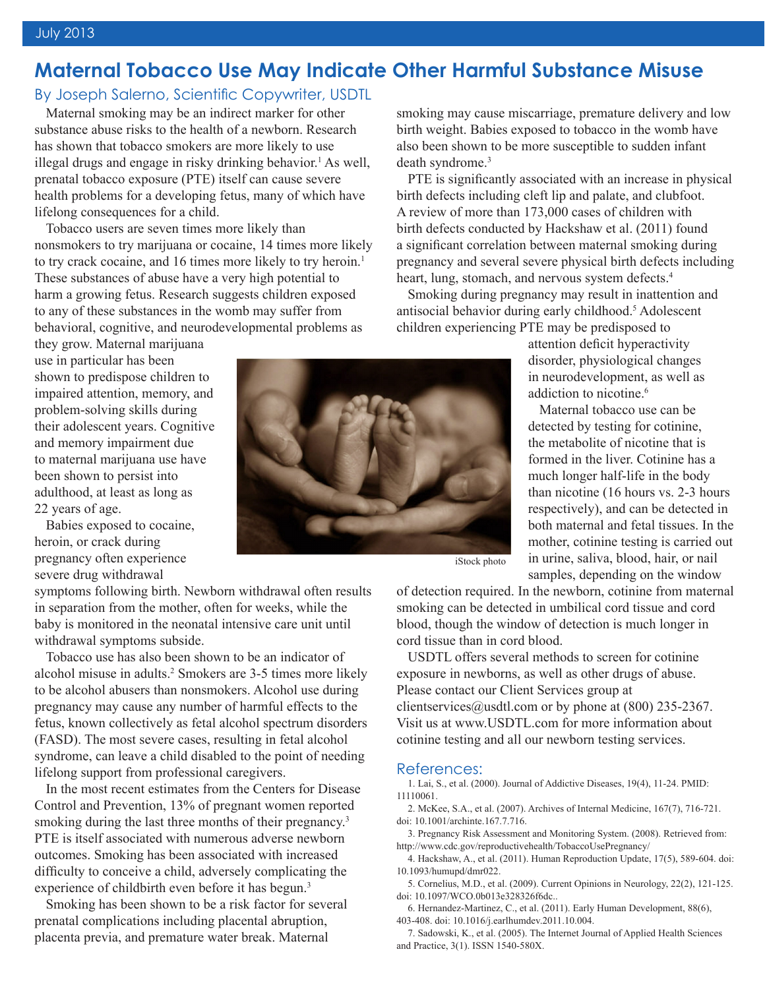## **Maternal Tobacco Use May Indicate Other Harmful Substance Misuse**

By Joseph Salerno, Scientific Copywriter, USDTL

Maternal smoking may be an indirect marker for other substance abuse risks to the health of a newborn. Research has shown that tobacco smokers are more likely to use illegal drugs and engage in risky drinking behavior.<sup>1</sup> As well, prenatal tobacco exposure (PTE) itself can cause severe health problems for a developing fetus, many of which have lifelong consequences for a child.

Tobacco users are seven times more likely than nonsmokers to try marijuana or cocaine, 14 times more likely to try crack cocaine, and 16 times more likely to try heroin.<sup>1</sup> These substances of abuse have a very high potential to harm a growing fetus. Research suggests children exposed to any of these substances in the womb may suffer from behavioral, cognitive, and neurodevelopmental problems as

they grow. Maternal marijuana use in particular has been shown to predispose children to impaired attention, memory, and problem-solving skills during their adolescent years. Cognitive and memory impairment due to maternal marijuana use have been shown to persist into adulthood, at least as long as 22 years of age.

Babies exposed to cocaine, heroin, or crack during pregnancy often experience severe drug withdrawal

symptoms following birth. Newborn withdrawal often results in separation from the mother, often for weeks, while the baby is monitored in the neonatal intensive care unit until withdrawal symptoms subside.

Tobacco use has also been shown to be an indicator of alcohol misuse in adults.<sup>2</sup> Smokers are 3-5 times more likely to be alcohol abusers than nonsmokers. Alcohol use during pregnancy may cause any number of harmful effects to the fetus, known collectively as fetal alcohol spectrum disorders (FASD). The most severe cases, resulting in fetal alcohol syndrome, can leave a child disabled to the point of needing lifelong support from professional caregivers.

In the most recent estimates from the Centers for Disease Control and Prevention, 13% of pregnant women reported smoking during the last three months of their pregnancy.<sup>3</sup> PTE is itself associated with numerous adverse newborn outcomes. Smoking has been associated with increased difficulty to conceive a child, adversely complicating the experience of childbirth even before it has begun.<sup>3</sup>

Smoking has been shown to be a risk factor for several prenatal complications including placental abruption, placenta previa, and premature water break. Maternal



smoking may cause miscarriage, premature delivery and low birth weight. Babies exposed to tobacco in the womb have also been shown to be more susceptible to sudden infant death syndrome.<sup>3</sup>

PTE is significantly associated with an increase in physical birth defects including cleft lip and palate, and clubfoot. A review of more than 173,000 cases of children with birth defects conducted by Hackshaw et al. (2011) found a significant correlation between maternal smoking during pregnancy and several severe physical birth defects including heart, lung, stomach, and nervous system defects.<sup>4</sup>

Smoking during pregnancy may result in inattention and antisocial behavior during early childhood.<sup>5</sup> Adolescent children experiencing PTE may be predisposed to

> attention deficit hyperactivity disorder, physiological changes in neurodevelopment, as well as addiction to nicotine<sup>6</sup>

Maternal tobacco use can be detected by testing for cotinine, the metabolite of nicotine that is formed in the liver. Cotinine has a much longer half-life in the body than nicotine (16 hours vs. 2-3 hours respectively), and can be detected in both maternal and fetal tissues. In the mother, cotinine testing is carried out in urine, saliva, blood, hair, or nail samples, depending on the window

iStock photo

of detection required. In the newborn, cotinine from maternal smoking can be detected in umbilical cord tissue and cord blood, though the window of detection is much longer in cord tissue than in cord blood.

USDTL offers several methods to screen for cotinine exposure in newborns, as well as other drugs of abuse. Please contact our Client Services group at clientservices@usdtl.com or by phone at  $(800)$  235-2367. Visit us at www.USDTL.com for more information about cotinine testing and all our newborn testing services.

#### References:

1. Lai, S., et al. (2000). Journal of Addictive Diseases, 19(4), 11-24. PMID: 11110061.

2. McKee, S.A., et al. (2007). Archives of Internal Medicine, 167(7), 716-721. doi: 10.1001/archinte.167.7.716.

3. Pregnancy Risk Assessment and Monitoring System. (2008). Retrieved from: http://www.cdc.gov/reproductivehealth/TobaccoUsePregnancy/

4. Hackshaw, A., et al. (2011). Human Reproduction Update, 17(5), 589-604. doi: 10.1093/humupd/dmr022.

5. Cornelius, M.D., et al. (2009). Current Opinions in Neurology, 22(2), 121-125. doi: 10.1097/WCO.0b013e328326f6dc..

6. Hernandez-Martinez, C., et al. (2011). Early Human Development, 88(6), 403-408. doi: 10.1016/j.earlhumdev.2011.10.004.

7. Sadowski, K., et al. (2005). The Internet Journal of Applied Health Sciences and Practice, 3(1). ISSN 1540-580X.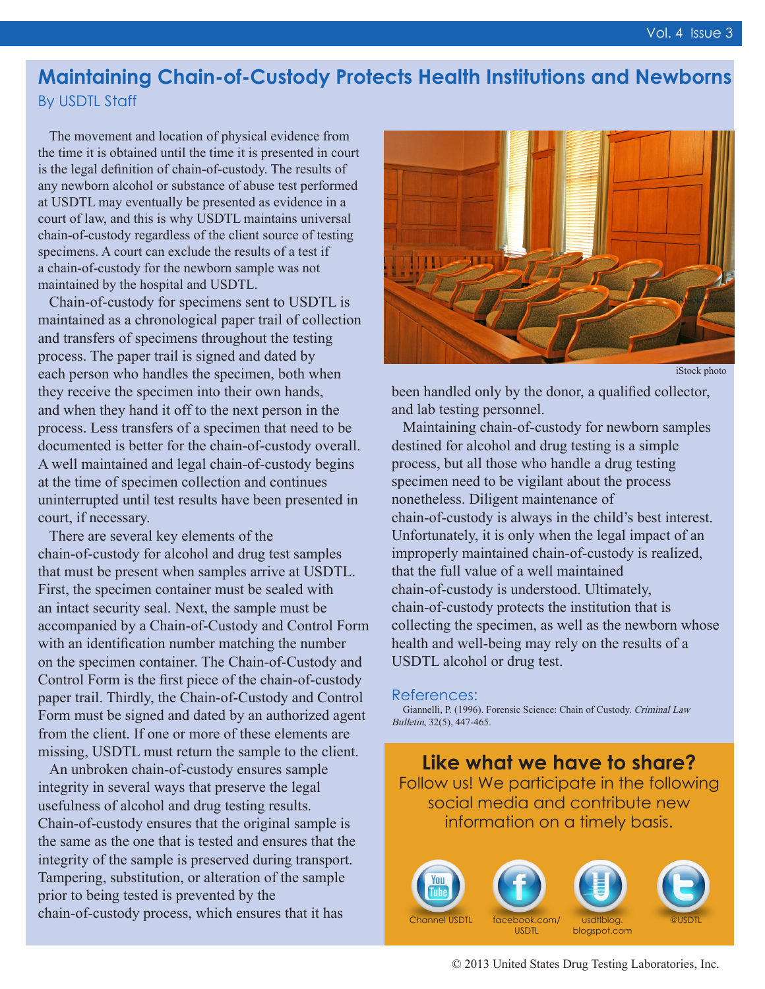## **Maintaining Chain-of-Custody Protects Health Institutions and Newborns** By USDTL Staff

The movement and location of physical evidence from the time it is obtained until the time it is presented in court is the legal definition of chain-of-custody. The results of any newborn alcohol or substance of abuse test performed at USDTL may eventually be presented as evidence in a court of law, and this is why USDTL maintains universal chain-of-custody regardless of the client source of testing specimens. A court can exclude the results of a test if a chain-of-custody for the newborn sample was not maintained by the hospital and USDTL.

Chain-of-custody for specimens sent to USDTL is maintained as a chronological paper trail of collection and transfers of specimens throughout the testing process. The paper trail is signed and dated by each person who handles the specimen, both when they receive the specimen into their own hands, and when they hand it off to the next person in the process. Less transfers of a specimen that need to be documented is better for the chain-of-custody overall. A well maintained and legal chain-of-custody begins at the time of specimen collection and continues uninterrupted until test results have been presented in court, if necessary.

There are several key elements of the chain-of-custody for alcohol and drug test samples that must be present when samples arrive at USDTL. First, the specimen container must be sealed with an intact security seal. Next, the sample must be accompanied by a Chain-of-Custody and Control Form with an identification number matching the number on the specimen container. The Chain-of-Custody and Control Form is the first piece of the chain-of-custody paper trail. Thirdly, the Chain-of-Custody and Control Form must be signed and dated by an authorized agent from the client. If one or more of these elements are missing, USDTL must return the sample to the client.

An unbroken chain-of-custody ensures sample integrity in several ways that preserve the legal usefulness of alcohol and drug testing results. Chain-of-custody ensures that the original sample is the same as the one that is tested and ensures that the integrity of the sample is preserved during transport. Tampering, substitution, or alteration of the sample prior to being tested is prevented by the chain-of-custody process, which ensures that it has



iStock photo

been handled only by the donor, a qualified collector, and lab testing personnel.

Maintaining chain-of-custody for newborn samples destined for alcohol and drug testing is a simple process, but all those who handle a drug testing specimen need to be vigilant about the process nonetheless. Diligent maintenance of chain-of-custody is always in the child's best interest. Unfortunately, it is only when the legal impact of an improperly maintained chain-of-custody is realized, that the full value of a well maintained chain-of-custody is understood. Ultimately, chain-of-custody protects the institution that is collecting the specimen, as well as the newborn whose health and well-being may rely on the results of a USDTL alcohol or drug test.

#### References:

Giannelli, P. (1996). Forensic Science: Chain of Custody. Criminal Law Bulletin, 32(5), 447-465.

**Like what we have to share?** Follow us! We participate in the following social media and contribute new information on a timely basis.